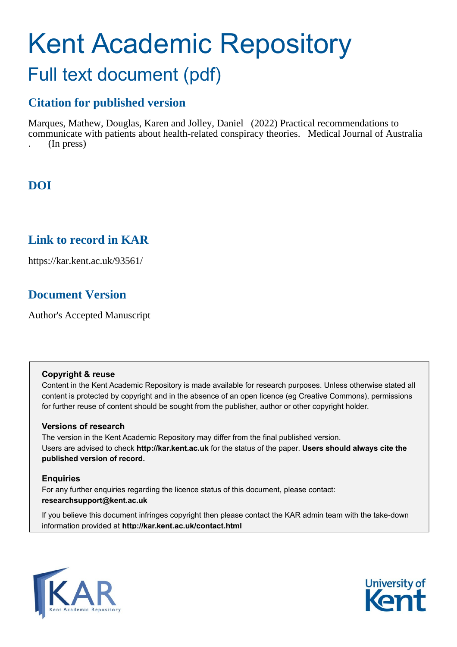# Kent Academic Repository Full text document (pdf)

## **Citation for published version**

Marques, Mathew, Douglas, Karen and Jolley, Daniel (2022) Practical recommendations to communicate with patients about health-related conspiracy theories. Medical Journal of Australia . (In press)

### **DOI**

### **Link to record in KAR**

https://kar.kent.ac.uk/93561/

### **Document Version**

Author's Accepted Manuscript

### **Copyright & reuse**

Content in the Kent Academic Repository is made available for research purposes. Unless otherwise stated all content is protected by copyright and in the absence of an open licence (eg Creative Commons), permissions for further reuse of content should be sought from the publisher, author or other copyright holder.

### **Versions of research**

The version in the Kent Academic Repository may differ from the final published version. Users are advised to check **http://kar.kent.ac.uk** for the status of the paper. **Users should always cite the published version of record.**

### **Enquiries**

For any further enquiries regarding the licence status of this document, please contact: **researchsupport@kent.ac.uk**

If you believe this document infringes copyright then please contact the KAR admin team with the take-down information provided at **http://kar.kent.ac.uk/contact.html**



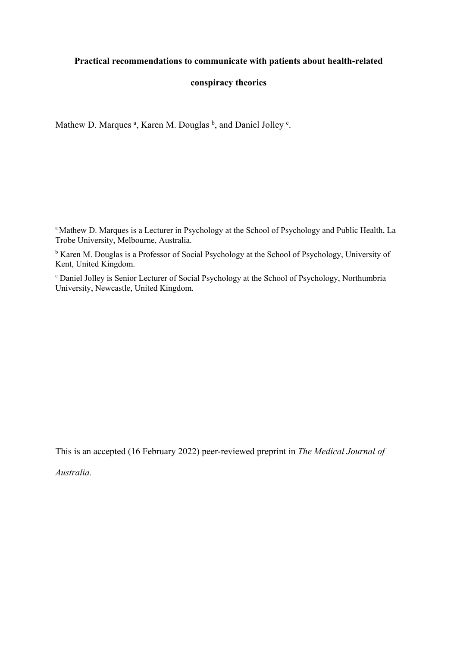### **Practical recommendations to communicate with patients about health-related**

### **conspiracy theories**

Mathew D. Marques<sup>a</sup>, Karen M. Douglas <sup>b</sup>, and Daniel Jolley<sup>c</sup>.

<sup>a</sup> Mathew D. Marques is a Lecturer in Psychology at the School of Psychology and Public Health, La Trobe University, Melbourne, Australia.

<sup>b</sup> Karen M. Douglas is a Professor of Social Psychology at the School of Psychology, University of Kent, United Kingdom.

<sup>c</sup> Daniel Jolley is Senior Lecturer of Social Psychology at the School of Psychology, Northumbria University, Newcastle, United Kingdom.

This is an accepted (16 February 2022) peer-reviewed preprint in *The Medical Journal of* 

*Australia.*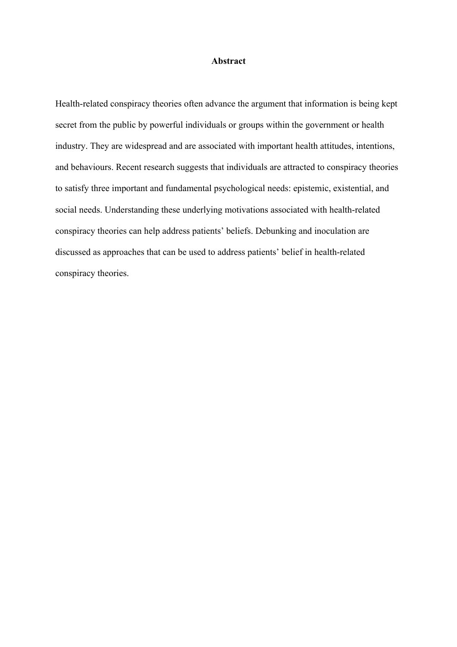#### **Abstract**

Health-related conspiracy theories often advance the argument that information is being kept secret from the public by powerful individuals or groups within the government or health industry. They are widespread and are associated with important health attitudes, intentions, and behaviours. Recent research suggests that individuals are attracted to conspiracy theories to satisfy three important and fundamental psychological needs: epistemic, existential, and social needs. Understanding these underlying motivations associated with health-related conspiracy theories can help address patients' beliefs. Debunking and inoculation are discussed as approaches that can be used to address patients' belief in health-related conspiracy theories.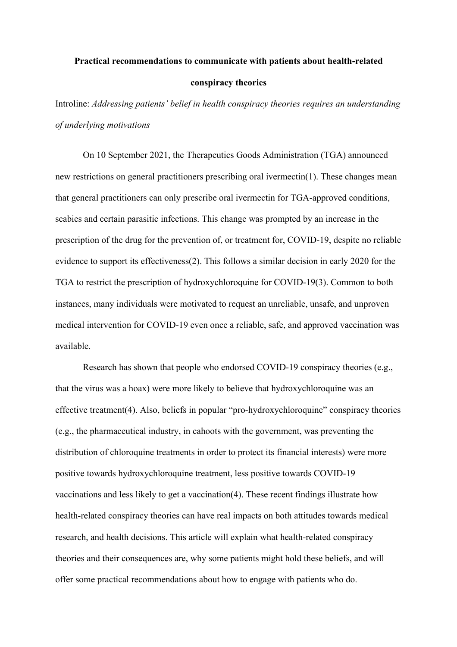### **Practical recommendations to communicate with patients about health-related conspiracy theories**

Introline: *Addressing patients' belief in health conspiracy theories requires an understanding of underlying motivations*

On 10 September 2021, the Therapeutics Goods Administration (TGA) announced new restrictions on general practitioners prescribing oral ivermectin(1). These changes mean that general practitioners can only prescribe oral ivermectin for TGA-approved conditions, scabies and certain parasitic infections. This change was prompted by an increase in the prescription of the drug for the prevention of, or treatment for, COVID-19, despite no reliable evidence to support its effectiveness(2). This follows a similar decision in early 2020 for the TGA to restrict the prescription of hydroxychloroquine for COVID-19(3). Common to both instances, many individuals were motivated to request an unreliable, unsafe, and unproven medical intervention for COVID-19 even once a reliable, safe, and approved vaccination was available.

Research has shown that people who endorsed COVID-19 conspiracy theories (e.g., that the virus was a hoax) were more likely to believe that hydroxychloroquine was an effective treatment(4). Also, beliefs in popular "pro-hydroxychloroquine" conspiracy theories (e.g., the pharmaceutical industry, in cahoots with the government, was preventing the distribution of chloroquine treatments in order to protect its financial interests) were more positive towards hydroxychloroquine treatment, less positive towards COVID-19 vaccinations and less likely to get a vaccination(4). These recent findings illustrate how health-related conspiracy theories can have real impacts on both attitudes towards medical research, and health decisions. This article will explain what health-related conspiracy theories and their consequences are, why some patients might hold these beliefs, and will offer some practical recommendations about how to engage with patients who do.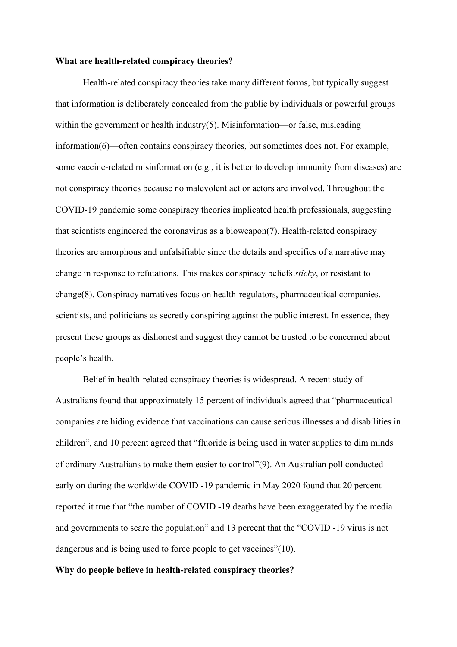#### **What are health-related conspiracy theories?**

Health-related conspiracy theories take many different forms, but typically suggest that information is deliberately concealed from the public by individuals or powerful groups within the government or health industry $(5)$ . Misinformation—or false, misleading information(6)—often contains conspiracy theories, but sometimes does not. For example, some vaccine-related misinformation (e.g., it is better to develop immunity from diseases) are not conspiracy theories because no malevolent act or actors are involved. Throughout the COVID-19 pandemic some conspiracy theories implicated health professionals, suggesting that scientists engineered the coronavirus as a bioweapon(7). Health-related conspiracy theories are amorphous and unfalsifiable since the details and specifics of a narrative may change in response to refutations. This makes conspiracy beliefs *sticky*, or resistant to change(8). Conspiracy narratives focus on health-regulators, pharmaceutical companies, scientists, and politicians as secretly conspiring against the public interest. In essence, they present these groups as dishonest and suggest they cannot be trusted to be concerned about people's health.

Belief in health-related conspiracy theories is widespread. A recent study of Australians found that approximately 15 percent of individuals agreed that "pharmaceutical companies are hiding evidence that vaccinations can cause serious illnesses and disabilities in children", and 10 percent agreed that "fluoride is being used in water supplies to dim minds of ordinary Australians to make them easier to control"(9). An Australian poll conducted early on during the worldwide COVID -19 pandemic in May 2020 found that 20 percent reported it true that "the number of COVID -19 deaths have been exaggerated by the media and governments to scare the population" and 13 percent that the "COVID -19 virus is not dangerous and is being used to force people to get vaccines"(10).

### **Why do people believe in health-related conspiracy theories?**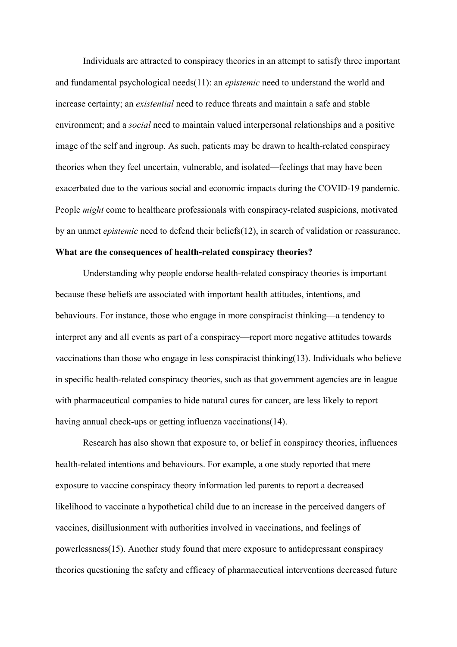Individuals are attracted to conspiracy theories in an attempt to satisfy three important and fundamental psychological needs(11): an *epistemic* need to understand the world and increase certainty; an *existential* need to reduce threats and maintain a safe and stable environment; and a *social* need to maintain valued interpersonal relationships and a positive image of the self and ingroup. As such, patients may be drawn to health-related conspiracy theories when they feel uncertain, vulnerable, and isolated—feelings that may have been exacerbated due to the various social and economic impacts during the COVID-19 pandemic. People *might* come to healthcare professionals with conspiracy-related suspicions, motivated by an unmet *epistemic* need to defend their beliefs(12), in search of validation or reassurance.

#### **What are the consequences of health-related conspiracy theories?**

Understanding why people endorse health-related conspiracy theories is important because these beliefs are associated with important health attitudes, intentions, and behaviours. For instance, those who engage in more conspiracist thinking—a tendency to interpret any and all events as part of a conspiracy—report more negative attitudes towards vaccinations than those who engage in less conspiracist thinking(13). Individuals who believe in specific health-related conspiracy theories, such as that government agencies are in league with pharmaceutical companies to hide natural cures for cancer, are less likely to report having annual check-ups or getting influenza vaccinations (14).

Research has also shown that exposure to, or belief in conspiracy theories, influences health-related intentions and behaviours. For example, a one study reported that mere exposure to vaccine conspiracy theory information led parents to report a decreased likelihood to vaccinate a hypothetical child due to an increase in the perceived dangers of vaccines, disillusionment with authorities involved in vaccinations, and feelings of powerlessness(15). Another study found that mere exposure to antidepressant conspiracy theories questioning the safety and efficacy of pharmaceutical interventions decreased future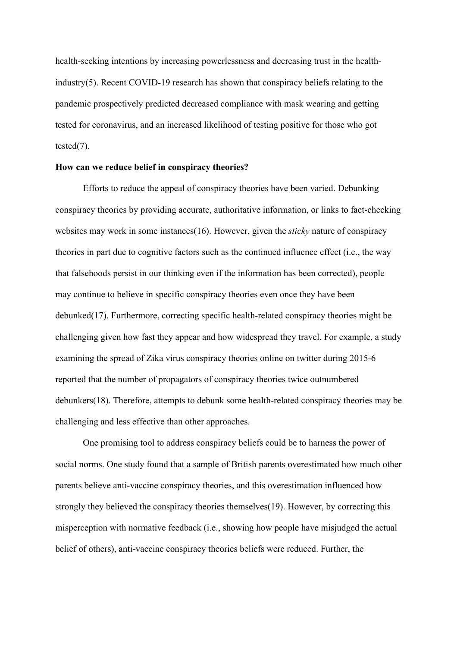health-seeking intentions by increasing powerlessness and decreasing trust in the healthindustry(5). Recent COVID-19 research has shown that conspiracy beliefs relating to the pandemic prospectively predicted decreased compliance with mask wearing and getting tested for coronavirus, and an increased likelihood of testing positive for those who got tested(7).

### **How can we reduce belief in conspiracy theories?**

Efforts to reduce the appeal of conspiracy theories have been varied. Debunking conspiracy theories by providing accurate, authoritative information, or links to fact-checking websites may work in some instances(16). However, given the *sticky* nature of conspiracy theories in part due to cognitive factors such as the continued influence effect (i.e., the way that falsehoods persist in our thinking even if the information has been corrected), people may continue to believe in specific conspiracy theories even once they have been debunked(17). Furthermore, correcting specific health-related conspiracy theories might be challenging given how fast they appear and how widespread they travel. For example, a study examining the spread of Zika virus conspiracy theories online on twitter during 2015-6 reported that the number of propagators of conspiracy theories twice outnumbered debunkers(18). Therefore, attempts to debunk some health-related conspiracy theories may be challenging and less effective than other approaches.

One promising tool to address conspiracy beliefs could be to harness the power of social norms. One study found that a sample of British parents overestimated how much other parents believe anti-vaccine conspiracy theories, and this overestimation influenced how strongly they believed the conspiracy theories themselves(19). However, by correcting this misperception with normative feedback (i.e., showing how people have misjudged the actual belief of others), anti-vaccine conspiracy theories beliefs were reduced. Further, the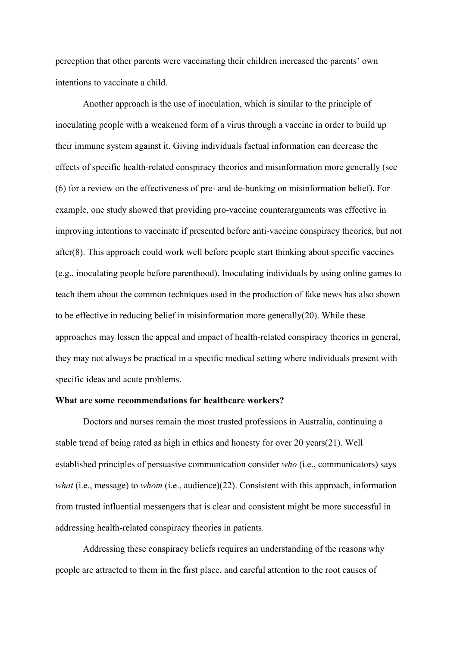perception that other parents were vaccinating their children increased the parents' own intentions to vaccinate a child.

Another approach is the use of inoculation, which is similar to the principle of inoculating people with a weakened form of a virus through a vaccine in order to build up their immune system against it. Giving individuals factual information can decrease the effects of specific health-related conspiracy theories and misinformation more generally (see (6) for a review on the effectiveness of pre- and de-bunking on misinformation belief). For example, one study showed that providing pro-vaccine counterarguments was effective in improving intentions to vaccinate if presented before anti-vaccine conspiracy theories, but not after(8). This approach could work well before people start thinking about specific vaccines (e.g., inoculating people before parenthood). Inoculating individuals by using online games to teach them about the common techniques used in the production of fake news has also shown to be effective in reducing belief in misinformation more generally(20). While these approaches may lessen the appeal and impact of health-related conspiracy theories in general, they may not always be practical in a specific medical setting where individuals present with specific ideas and acute problems.

### **What are some recommendations for healthcare workers?**

Doctors and nurses remain the most trusted professions in Australia, continuing a stable trend of being rated as high in ethics and honesty for over 20 years(21). Well established principles of persuasive communication consider *who* (i.e., communicators) says *what* (i.e., message) to *whom* (i.e., audience)(22). Consistent with this approach, information from trusted influential messengers that is clear and consistent might be more successful in addressing health-related conspiracy theories in patients.

Addressing these conspiracy beliefs requires an understanding of the reasons why people are attracted to them in the first place, and careful attention to the root causes of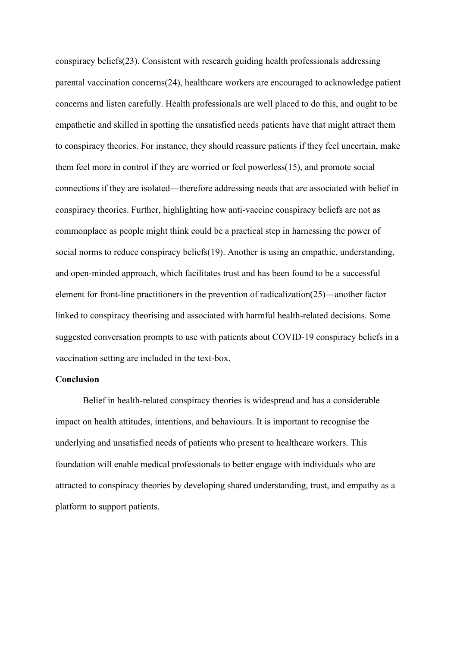conspiracy beliefs(23). Consistent with research guiding health professionals addressing parental vaccination concerns(24), healthcare workers are encouraged to acknowledge patient concerns and listen carefully. Health professionals are well placed to do this, and ought to be empathetic and skilled in spotting the unsatisfied needs patients have that might attract them to conspiracy theories. For instance, they should reassure patients if they feel uncertain, make them feel more in control if they are worried or feel powerless(15), and promote social connections if they are isolated—therefore addressing needs that are associated with belief in conspiracy theories. Further, highlighting how anti-vaccine conspiracy beliefs are not as commonplace as people might think could be a practical step in harnessing the power of social norms to reduce conspiracy beliefs(19). Another is using an empathic, understanding, and open-minded approach, which facilitates trust and has been found to be a successful element for front-line practitioners in the prevention of radicalization(25)—another factor linked to conspiracy theorising and associated with harmful health-related decisions. Some suggested conversation prompts to use with patients about COVID-19 conspiracy beliefs in a vaccination setting are included in the text-box.

#### **Conclusion**

Belief in health-related conspiracy theories is widespread and has a considerable impact on health attitudes, intentions, and behaviours. It is important to recognise the underlying and unsatisfied needs of patients who present to healthcare workers. This foundation will enable medical professionals to better engage with individuals who are attracted to conspiracy theories by developing shared understanding, trust, and empathy as a platform to support patients.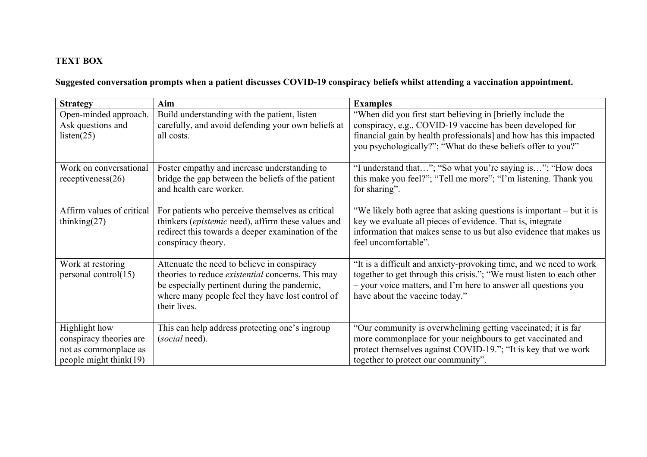### **TEXT BOX**

### Suggested conversation prompts when a patient discusses COVID-19 conspiracy beliefs whilst attending a vaccination appointment.

| <b>Strategy</b>                                                                             | Aim                                                                                                                                                                                                                         | <b>Examples</b>                                                                                                                                                                                                                                               |
|---------------------------------------------------------------------------------------------|-----------------------------------------------------------------------------------------------------------------------------------------------------------------------------------------------------------------------------|---------------------------------------------------------------------------------------------------------------------------------------------------------------------------------------------------------------------------------------------------------------|
| Open-minded approach.<br>Ask questions and<br>listen(25)                                    | Build understanding with the patient, listen<br>carefully, and avoid defending your own beliefs at<br>all costs.                                                                                                            | "When did you first start believing in [briefly include the<br>conspiracy, e.g., COVID-19 vaccine has been developed for<br>financial gain by health professionals] and how has this impacted<br>you psychologically?"; "What do these beliefs offer to you?" |
| Work on conversational<br>receptiveness(26)                                                 | Foster empathy and increase understanding to<br>bridge the gap between the beliefs of the patient<br>and health care worker.                                                                                                | "I understand that"; "So what you're saying is"; "How does"<br>this make you feel?"; "Tell me more"; "I'm listening. Thank you<br>for sharing".                                                                                                               |
| Affirm values of critical<br>thinking $(27)$                                                | For patients who perceive themselves as critical<br>thinkers (epistemic need), affirm these values and<br>redirect this towards a deeper examination of the<br>conspiracy theory.                                           | "We likely both agree that asking questions is important - but it is<br>key we evaluate all pieces of evidence. That is, integrate<br>information that makes sense to us but also evidence that makes us<br>feel uncomfortable".                              |
| Work at restoring<br>personal control(15)                                                   | Attenuate the need to believe in conspiracy<br>theories to reduce <i>existential</i> concerns. This may<br>be especially pertinent during the pandemic,<br>where many people feel they have lost control of<br>their lives. | "It is a difficult and anxiety-provoking time, and we need to work<br>together to get through this crisis."; "We must listen to each other<br>- your voice matters, and I'm here to answer all questions you<br>have about the vaccine today."                |
| Highlight how<br>conspiracy theories are<br>not as commonplace as<br>people might think(19) | This can help address protecting one's ingroup<br>( <i>social</i> need).                                                                                                                                                    | "Our community is overwhelming getting vaccinated; it is far<br>more commonplace for your neighbours to get vaccinated and<br>protect themselves against COVID-19."; "It is key that we work<br>together to protect our community".                           |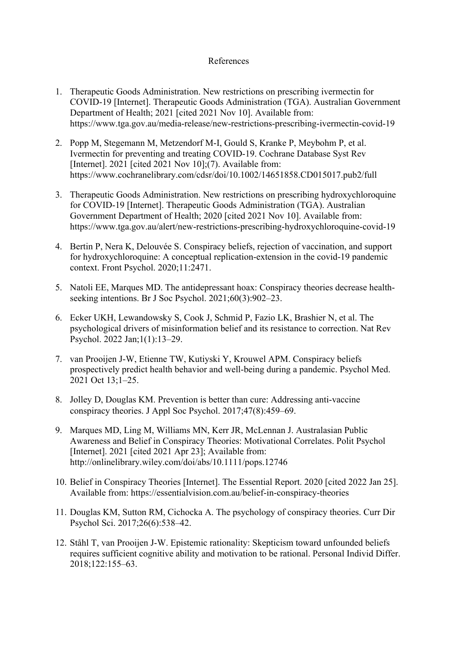### References

- 1. Therapeutic Goods Administration. New restrictions on prescribing ivermectin for COVID-19 [Internet]. Therapeutic Goods Administration (TGA). Australian Government Department of Health; 2021 [cited 2021 Nov 10]. Available from: https://www.tga.gov.au/media-release/new-restrictions-prescribing-ivermectin-covid-19
- 2. Popp M, Stegemann M, Metzendorf M-I, Gould S, Kranke P, Meybohm P, et al. Ivermectin for preventing and treating COVID‐19. Cochrane Database Syst Rev [Internet]. 2021 [cited 2021 Nov 10];(7). Available from: https://www.cochranelibrary.com/cdsr/doi/10.1002/14651858.CD015017.pub2/full
- 3. Therapeutic Goods Administration. New restrictions on prescribing hydroxychloroquine for COVID-19 [Internet]. Therapeutic Goods Administration (TGA). Australian Government Department of Health; 2020 [cited 2021 Nov 10]. Available from: https://www.tga.gov.au/alert/new-restrictions-prescribing-hydroxychloroquine-covid-19
- 4. Bertin P, Nera K, Delouvée S. Conspiracy beliefs, rejection of vaccination, and support for hydroxychloroquine: A conceptual replication-extension in the covid-19 pandemic context. Front Psychol. 2020;11:2471.
- 5. Natoli EE, Marques MD. The antidepressant hoax: Conspiracy theories decrease health‐ seeking intentions. Br J Soc Psychol. 2021;60(3):902–23.
- 6. Ecker UKH, Lewandowsky S, Cook J, Schmid P, Fazio LK, Brashier N, et al. The psychological drivers of misinformation belief and its resistance to correction. Nat Rev Psychol. 2022 Jan;1(1):13–29.
- 7. van Prooijen J-W, Etienne TW, Kutiyski Y, Krouwel APM. Conspiracy beliefs prospectively predict health behavior and well-being during a pandemic. Psychol Med. 2021 Oct 13;1–25.
- 8. Jolley D, Douglas KM. Prevention is better than cure: Addressing anti-vaccine conspiracy theories. J Appl Soc Psychol. 2017;47(8):459–69.
- 9. Marques MD, Ling M, Williams MN, Kerr JR, McLennan J. Australasian Public Awareness and Belief in Conspiracy Theories: Motivational Correlates. Polit Psychol [Internet]. 2021 [cited 2021 Apr 23]; Available from: http://onlinelibrary.wiley.com/doi/abs/10.1111/pops.12746
- 10. Belief in Conspiracy Theories [Internet]. The Essential Report. 2020 [cited 2022 Jan 25]. Available from: https://essentialvision.com.au/belief-in-conspiracy-theories
- 11. Douglas KM, Sutton RM, Cichocka A. The psychology of conspiracy theories. Curr Dir Psychol Sci. 2017;26(6):538–42.
- 12. Ståhl T, van Prooijen J-W. Epistemic rationality: Skepticism toward unfounded beliefs requires sufficient cognitive ability and motivation to be rational. Personal Individ Differ. 2018;122:155–63.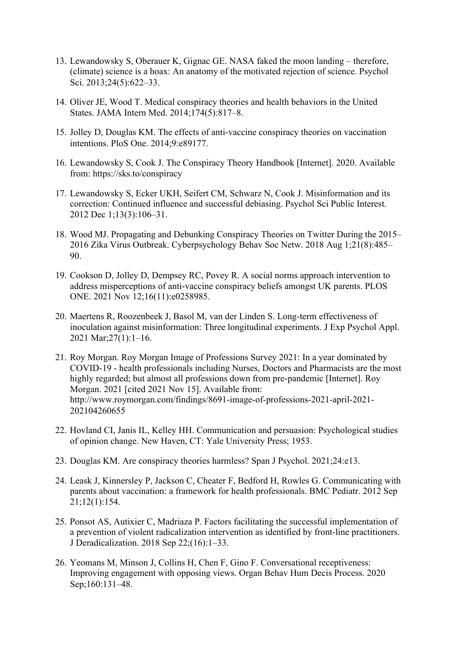- 13. Lewandowsky S, Oberauer K, Gignac GE. NASA faked the moon landing therefore, (climate) science is a hoax: An anatomy of the motivated rejection of science. Psychol Sci. 2013;24(5):622–33.
- 14. Oliver JE, Wood T. Medical conspiracy theories and health behaviors in the United States. JAMA Intern Med. 2014;174(5):817–8.
- 15. Jolley D, Douglas KM. The effects of anti-vaccine conspiracy theories on vaccination intentions. PloS One. 2014;9:e89177.
- 16. Lewandowsky S, Cook J. The Conspiracy Theory Handbook [Internet]. 2020. Available from: https://sks.to/conspiracy
- 17. Lewandowsky S, Ecker UKH, Seifert CM, Schwarz N, Cook J. Misinformation and its correction: Continued influence and successful debiasing. Psychol Sci Public Interest. 2012 Dec 1;13(3):106–31.
- 18. Wood MJ. Propagating and Debunking Conspiracy Theories on Twitter During the 2015– 2016 Zika Virus Outbreak. Cyberpsychology Behav Soc Netw. 2018 Aug 1;21(8):485– 90.
- 19. Cookson D, Jolley D, Dempsey RC, Povey R. A social norms approach intervention to address misperceptions of anti-vaccine conspiracy beliefs amongst UK parents. PLOS ONE. 2021 Nov 12;16(11):e0258985.
- 20. Maertens R, Roozenbeek J, Basol M, van der Linden S. Long-term effectiveness of inoculation against misinformation: Three longitudinal experiments. J Exp Psychol Appl. 2021 Mar;27(1):1–16.
- 21. Roy Morgan. Roy Morgan Image of Professions Survey 2021: In a year dominated by COVID-19 - health professionals including Nurses, Doctors and Pharmacists are the most highly regarded; but almost all professions down from pre-pandemic [Internet]. Roy Morgan. 2021 [cited 2021 Nov 15]. Available from: http://www.roymorgan.com/findings/8691-image-of-professions-2021-april-2021- 202104260655
- 22. Hovland CI, Janis IL, Kelley HH. Communication and persuasion: Psychological studies of opinion change. New Haven, CT: Yale University Press; 1953.
- 23. Douglas KM. Are conspiracy theories harmless? Span J Psychol. 2021;24:e13.
- 24. Leask J, Kinnersley P, Jackson C, Cheater F, Bedford H, Rowles G. Communicating with parents about vaccination: a framework for health professionals. BMC Pediatr. 2012 Sep 21;12(1):154.
- 25. Ponsot AS, Autixier C, Madriaza P. Factors facilitating the successful implementation of a prevention of violent radicalization intervention as identified by front-line practitioners. J Deradicalization. 2018 Sep 22;(16):1–33.
- 26. Yeomans M, Minson J, Collins H, Chen F, Gino F. Conversational receptiveness: Improving engagement with opposing views. Organ Behav Hum Decis Process. 2020 Sep;160:131–48.